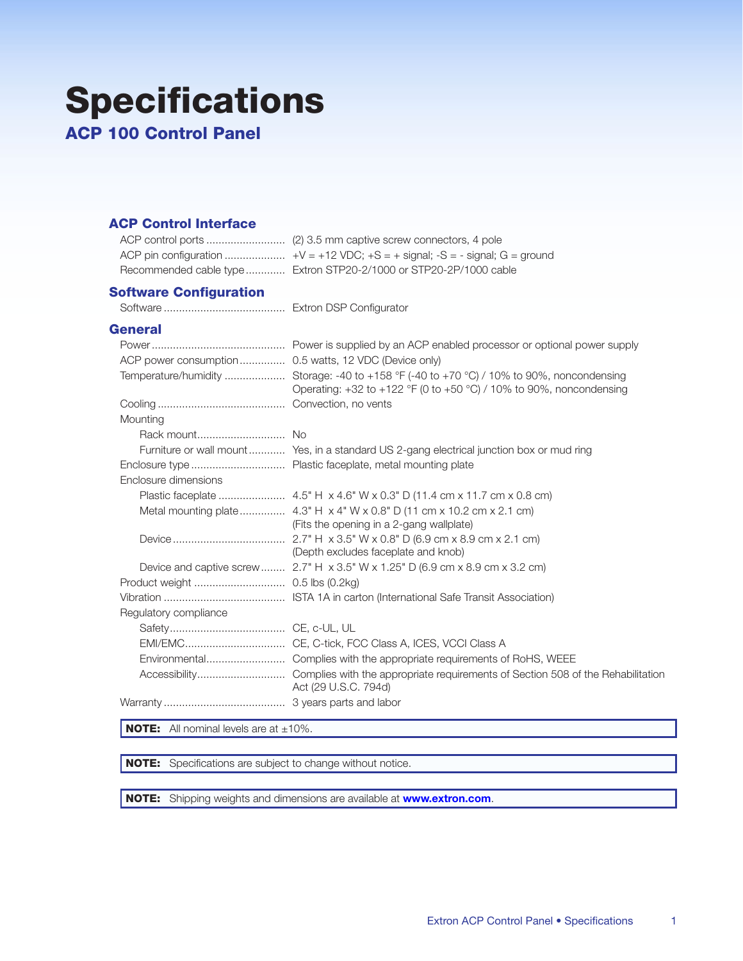## **Specifications**

**ACP 100 Control Panel** 

## **ACP Control Interface**

| Recommended cable type Extron STP20-2/1000 or STP20-2P/1000 cable |
|-------------------------------------------------------------------|

## **Software Configuration**

## **General**

| ACP power consumption 0.5 watts, 12 VDC (Device only) |                                                                                                                                                                        |
|-------------------------------------------------------|------------------------------------------------------------------------------------------------------------------------------------------------------------------------|
|                                                       | Temperature/humidity  Storage: -40 to +158 °F (-40 to +70 °C) / 10% to 90%, noncondensing<br>Operating: $+32$ to $+122$ °F (0 to $+50$ °C) / 10% to 90%, noncondensing |
|                                                       |                                                                                                                                                                        |
| Mounting                                              |                                                                                                                                                                        |
|                                                       |                                                                                                                                                                        |
|                                                       | Furniture or wall mount Yes, in a standard US 2-gang electrical junction box or mud ring                                                                               |
|                                                       |                                                                                                                                                                        |
| Enclosure dimensions                                  |                                                                                                                                                                        |
|                                                       |                                                                                                                                                                        |
|                                                       | Metal mounting plate 4.3" H x 4" W x 0.8" D (11 cm x 10.2 cm x 2.1 cm)<br>(Fits the opening in a 2-gang wallplate)                                                     |
|                                                       | (Depth excludes faceplate and knob)                                                                                                                                    |
|                                                       | Device and captive screw  2.7" $H \times 3.5$ " W $\times$ 1.25" D (6.9 cm $\times$ 8.9 cm $\times$ 3.2 cm)                                                            |
|                                                       |                                                                                                                                                                        |
|                                                       |                                                                                                                                                                        |
| Regulatory compliance                                 |                                                                                                                                                                        |
|                                                       |                                                                                                                                                                        |
|                                                       | EMI/EMC CE, C-tick, FCC Class A, ICES, VCCI Class A                                                                                                                    |
|                                                       | Environmental Complies with the appropriate requirements of RoHS, WEEE                                                                                                 |
|                                                       | Act (29 U.S.C. 794d)                                                                                                                                                   |
|                                                       |                                                                                                                                                                        |

**NOTE:** All nominal levels are at  $\pm 10\%$ .

NOTE: Specifications are subject to change without notice.

NOTE: Shipping weights and dimensions are available at www.extron.com.